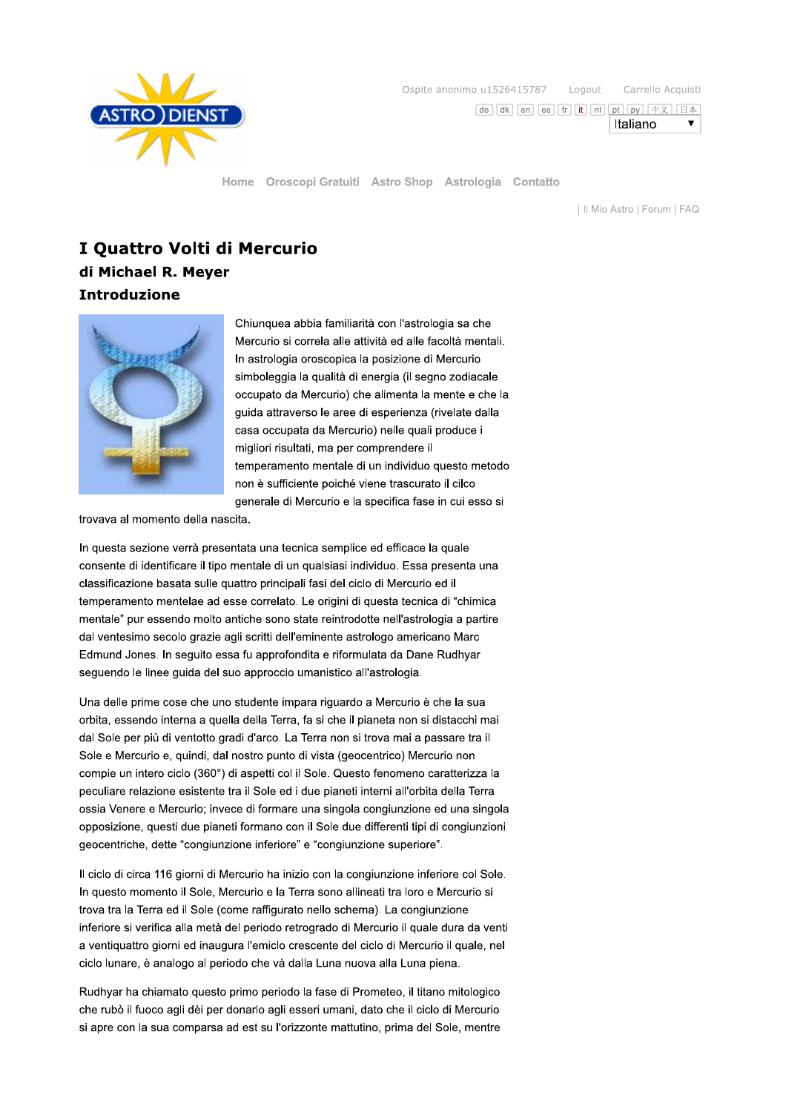

Ospite anonimo u1526415787 Logout Carrello Acquisti

 $\boxed{\mathsf{de}}\ \boxed{\mathsf{dk}}\ \boxed{\mathsf{en}}\ \boxed{\mathsf{es}}\ \boxed{\mathsf{fr}}\ \boxed{\mathsf{it}}\ \boxed{\mathsf{nl}}\ \boxed{\mathsf{nl}}\ \boxed{\mathsf{py}}\ \boxed{\mathsf{H}\times\ ]\ \boxed{\mathsf{H}\times\ ]}}$ 

 $\overline{\mathbf{v}}$ 

Italiano

Home Oroscopi Gratuiti Astro Shop Astrologia Contatto

| Il Mio Astro | Forum | FAQ

# I Quattro Volti di Mercurio di Michael R. Meyer **Introduzione**



Chiunquea abbia familiarità con l'astrologia sa che Mercurio si correla alle attività ed alle facoltà mentali. In astrologia oroscopica la posizione di Mercurio simboleggia la qualità di energia (il segno zodiacale occupato da Mercurio) che alimenta la mente e che la guida attraverso le aree di esperienza (rivelate dalla casa occupata da Mercurio) nelle quali produce i migliori risultati, ma per comprendere il temperamento mentale di un individuo questo metodo non è sufficiente poiché viene trascurato il cilco generale di Mercurio e la specifica fase in cui esso si

trovava al momento della nascita.

In questa sezione verrà presentata una tecnica semplice ed efficace la quale consente di identificare il tipo mentale di un qualsiasi individuo. Essa presenta una classificazione basata sulle quattro principali fasi del ciclo di Mercurio ed il temperamento mentelae ad esse correlato. Le origini di questa tecnica di "chimica mentale" pur essendo molto antiche sono state reintrodotte nell'astrologia a partire dal ventesimo secolo grazie agli scritti dell'eminente astrologo americano Marc Edmund Jones. In seguito essa fu approfondita e riformulata da Dane Rudhyar seguendo le linee guida del suo approccio umanistico all'astrologia.

Una delle prime cose che uno studente impara riguardo a Mercurio è che la sua orbita, essendo interna a quella della Terra, fa si che il pianeta non si distacchi mai dal Sole per più di ventotto gradi d'arco. La Terra non si trova mai a passare tra il Sole e Mercurio e, quindi, dal nostro punto di vista (geocentrico) Mercurio non compie un intero ciclo (360°) di aspetti col il Sole. Questo fenomeno caratterizza la peculiare relazione esistente tra il Sole ed i due pianeti interni all'orbita della Terra ossia Venere e Mercurio; invece di formare una singola congiunzione ed una singola opposizione, questi due pianeti formano con il Sole due differenti tipi di congiunzioni geocentriche, dette "congiunzione inferiore" e "congiunzione superiore".

Il ciclo di circa 116 giorni di Mercurio ha inizio con la congiunzione inferiore col Sole. In questo momento il Sole, Mercurio e la Terra sono allineati tra loro e Mercurio si trova tra la Terra ed il Sole (come raffigurato nello schema). La congiunzione inferiore si verifica alla metà del periodo retrogrado di Mercurio il quale dura da venti a ventiquattro giorni ed inaugura l'emiclo crescente del ciclo di Mercurio il quale, nel ciclo lunare, è analogo al periodo che và dalla Luna nuova alla Luna piena.

Rudhyar ha chiamato questo primo periodo la fase di Prometeo, il titano mitologico che rubò il fuoco agli dèi per donarlo agli esseri umani, dato che il ciclo di Mercurio si apre con la sua comparsa ad est su l'orizzonte mattutino, prima del Sole, mentre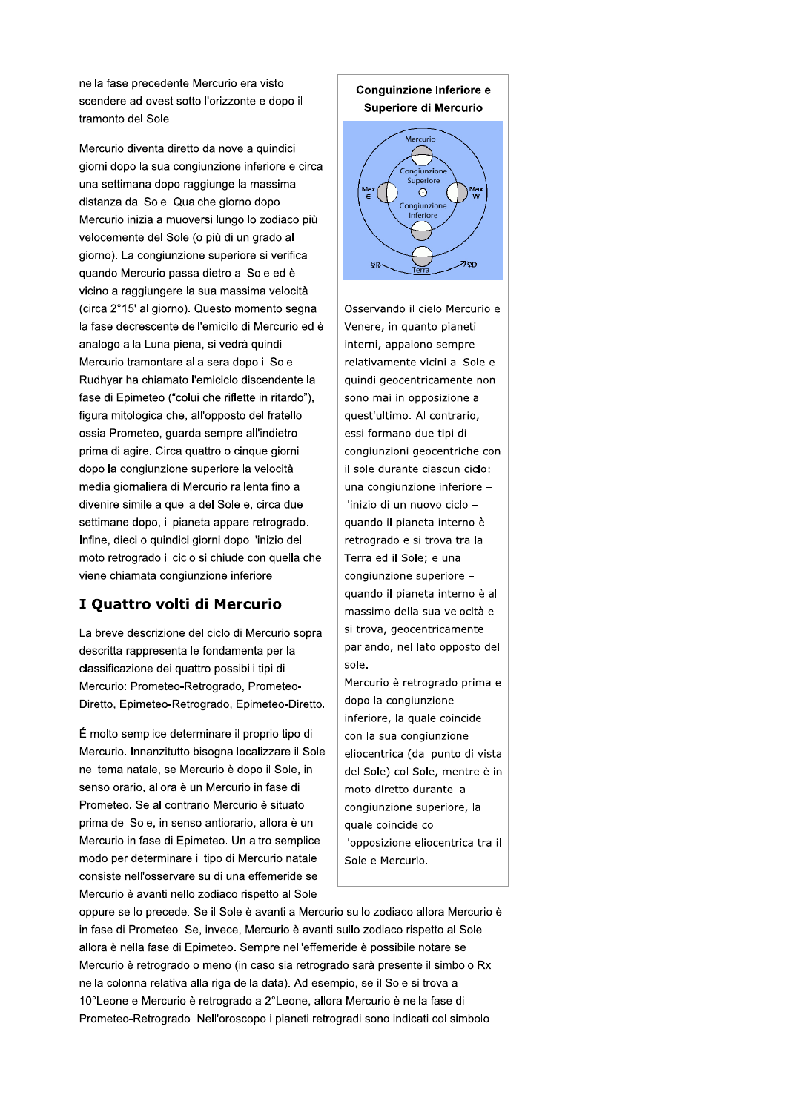nella fase precedente Mercurio era visto scendere ad ovest sotto l'orizzonte e dopo il tramonto del Sole.

Mercurio diventa diretto da nove a quindici giorni dopo la sua congiunzione inferiore e circa una settimana dopo raggiunge la massima distanza dal Sole. Qualche giorno dopo Mercurio inizia a muoversi lungo lo zodiaco più velocemente del Sole (o più di un grado al giorno). La congiunzione superiore si verifica quando Mercurio passa dietro al Sole ed è vicino a raggiungere la sua massima velocità (circa 2°15' al giorno). Questo momento segna la fase decrescente dell'emicilo di Mercurio ed è analogo alla Luna piena, si vedrà quindi Mercurio tramontare alla sera dopo il Sole. Rudhyar ha chiamato l'emiciclo discendente la fase di Epimeteo ("colui che riflette in ritardo"), figura mitologica che, all'opposto del fratello ossia Prometeo, guarda sempre all'indietro prima di agire. Circa quattro o cinque giorni dopo la congiunzione superiore la velocità media giornaliera di Mercurio rallenta fino a divenire simile a quella del Sole e, circa due settimane dopo, il pianeta appare retrogrado. Infine, dieci o quindici giorni dopo l'inizio del moto retrogrado il ciclo si chiude con quella che viene chiamata congiunzione inferiore.

## I Quattro volti di Mercurio

La breve descrizione del ciclo di Mercurio sopra descritta rappresenta le fondamenta per la classificazione dei quattro possibili tipi di Mercurio: Prometeo-Retrogrado, Prometeo-Diretto, Epimeteo-Retrogrado, Epimeteo-Diretto.

É molto semplice determinare il proprio tipo di Mercurio. Innanzitutto bisogna localizzare il Sole nel tema natale, se Mercurio è dopo il Sole, in senso orario, allora è un Mercurio in fase di Prometeo. Se al contrario Mercurio è situato prima del Sole, in senso antiorario, allora è un Mercurio in fase di Epimeteo. Un altro semplice modo per determinare il tipo di Mercurio natale consiste nell'osservare su di una effemeride se Mercurio è avanti nello zodiaco rispetto al Sole

#### Conguinzione Inferiore e Superiore di Mercurio



Osservando il cielo Mercurio e Venere, in quanto pianeti interni, appaiono sempre relativamente vicini al Sole e quindi geocentricamente non sono mai in opposizione a quest'ultimo. Al contrario, essi formano due tipi di congiunzioni geocentriche con il sole durante ciascun ciclo: una congiunzione inferiore l'inizio di un nuovo ciclo quando il pianeta interno è retrogrado e si trova tra la Terra ed il Sole; e una congiunzione superiore quando il pianeta interno è al massimo della sua velocità e si trova, geocentricamente parlando, nel lato opposto del sole.

Mercurio è retrogrado prima e dopo la congiunzione inferiore, la quale coincide con la sua congiunzione eliocentrica (dal punto di vista del Sole) col Sole, mentre è in moto diretto durante la congiunzione superiore, la quale coincide col l'opposizione eliocentrica tra il Sole e Mercurio.

oppure se lo precede. Se il Sole è avanti a Mercurio sullo zodiaco allora Mercurio è in fase di Prometeo. Se, invece, Mercurio è avanti sullo zodiaco rispetto al Sole allora è nella fase di Epimeteo. Sempre nell'effemeride è possibile notare se Mercurio è retrogrado o meno (in caso sia retrogrado sarà presente il simbolo Rx nella colonna relativa alla riga della data). Ad esempio, se il Sole si trova a 10°Leone e Mercurio è retrogrado a 2°Leone, allora Mercurio è nella fase di Prometeo-Retrogrado. Nell'oroscopo i pianeti retrogradi sono indicati col simbolo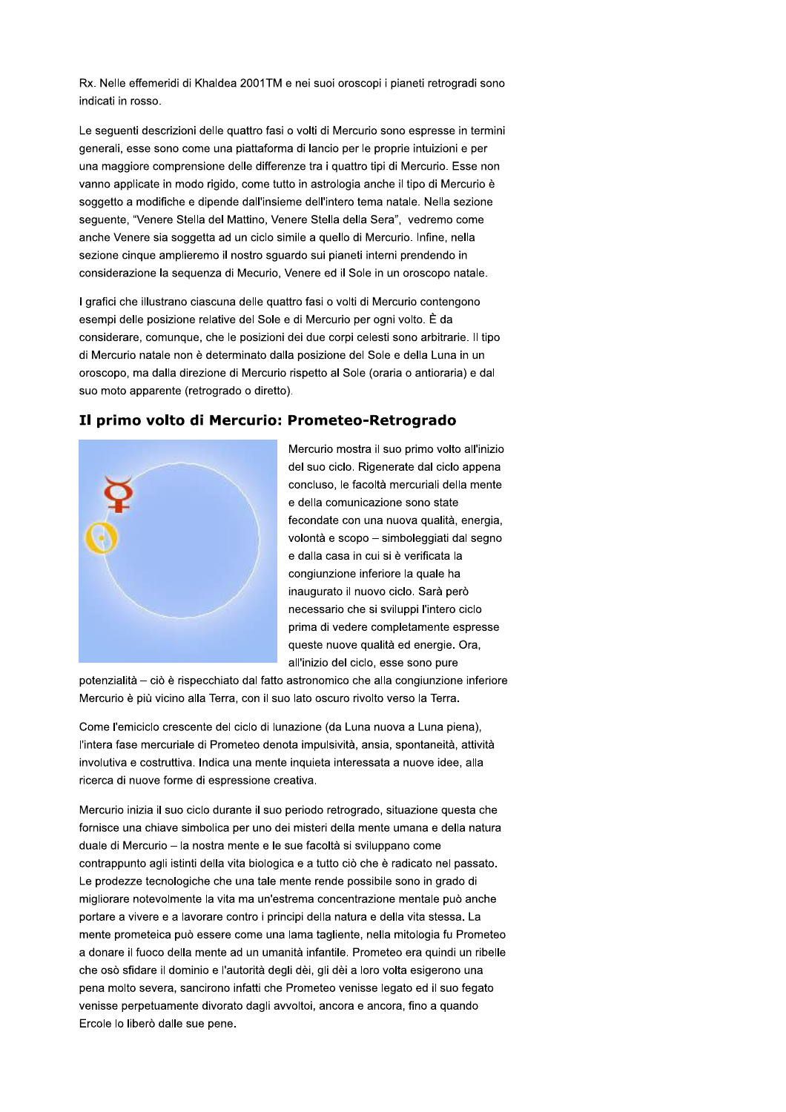Rx. Nelle effemeridi di Khaldea 2001TM e nei suoi oroscopi i pianeti retrogradi sono indicati in rosso.

Le sequenti descrizioni delle quattro fasi o volti di Mercurio sono espresse in termini generali, esse sono come una piattaforma di lancio per le proprie intuizioni e per una maggiore comprensione delle differenze tra i quattro tipi di Mercurio. Esse non vanno applicate in modo rigido, come tutto in astrologia anche il tipo di Mercurio è soggetto a modifiche e dipende dall'insieme dell'intero tema natale. Nella sezione seguente, "Venere Stella del Mattino, Venere Stella della Sera", vedremo come anche Venere sia soggetta ad un ciclo simile a quello di Mercurio. Infine, nella sezione cinque amplieremo il nostro sguardo sui pianeti interni prendendo in considerazione la sequenza di Mecurio, Venere ed il Sole in un oroscopo natale.

I grafici che illustrano ciascuna delle quattro fasi o volti di Mercurio contengono esempi delle posizione relative del Sole e di Mercurio per ogni volto. È da considerare, comunque, che le posizioni dei due corpi celesti sono arbitrarie. Il tipo di Mercurio natale non è determinato dalla posizione del Sole e della Luna in un oroscopo, ma dalla direzione di Mercurio rispetto al Sole (oraria o antioraria) e dal suo moto apparente (retrogrado o diretto).

### Il primo volto di Mercurio: Prometeo-Retrogrado



Mercurio mostra il suo primo volto all'inizio del suo ciclo. Rigenerate dal ciclo appena concluso, le facoltà mercuriali della mente e della comunicazione sono state fecondate con una nuova qualità, energia, volontà e scopo - simboleggiati dal segno e dalla casa in cui si è verificata la congiunzione inferiore la quale ha inaugurato il nuovo ciclo. Sarà però necessario che si sviluppi l'intero ciclo prima di vedere completamente espresse queste nuove qualità ed energie. Ora, all'inizio del ciclo, esse sono pure

potenzialità - ciò è rispecchiato dal fatto astronomico che alla congiunzione inferiore Mercurio è più vicino alla Terra, con il suo lato oscuro rivolto verso la Terra.

Come l'emiciclo crescente del ciclo di lunazione (da Luna nuova a Luna piena), l'intera fase mercuriale di Prometeo denota impulsività, ansia, spontaneità, attività involutiva e costruttiva. Indica una mente inquieta interessata a nuove idee, alla ricerca di nuove forme di espressione creativa.

Mercurio inizia il suo ciclo durante il suo periodo retrogrado, situazione questa che fornisce una chiave simbolica per uno dei misteri della mente umana e della natura duale di Mercurio - la nostra mente e le sue facoltà si sviluppano come contrappunto agli istinti della vita biologica e a tutto ciò che è radicato nel passato. Le prodezze tecnologiche che una tale mente rende possibile sono in grado di migliorare notevolmente la vita ma un'estrema concentrazione mentale può anche portare a vivere e a lavorare contro i principi della natura e della vita stessa. La mente prometeica può essere come una lama tagliente, nella mitologia fu Prometeo a donare il fuoco della mente ad un umanità infantile. Prometeo era quindi un ribelle che osò sfidare il dominio e l'autorità degli dèi, gli dèi a loro volta esigerono una pena molto severa, sancirono infatti che Prometeo venisse legato ed il suo fegato venisse perpetuamente divorato dagli avvoltoi, ancora e ancora, fino a quando Ercole lo liberò dalle sue pene.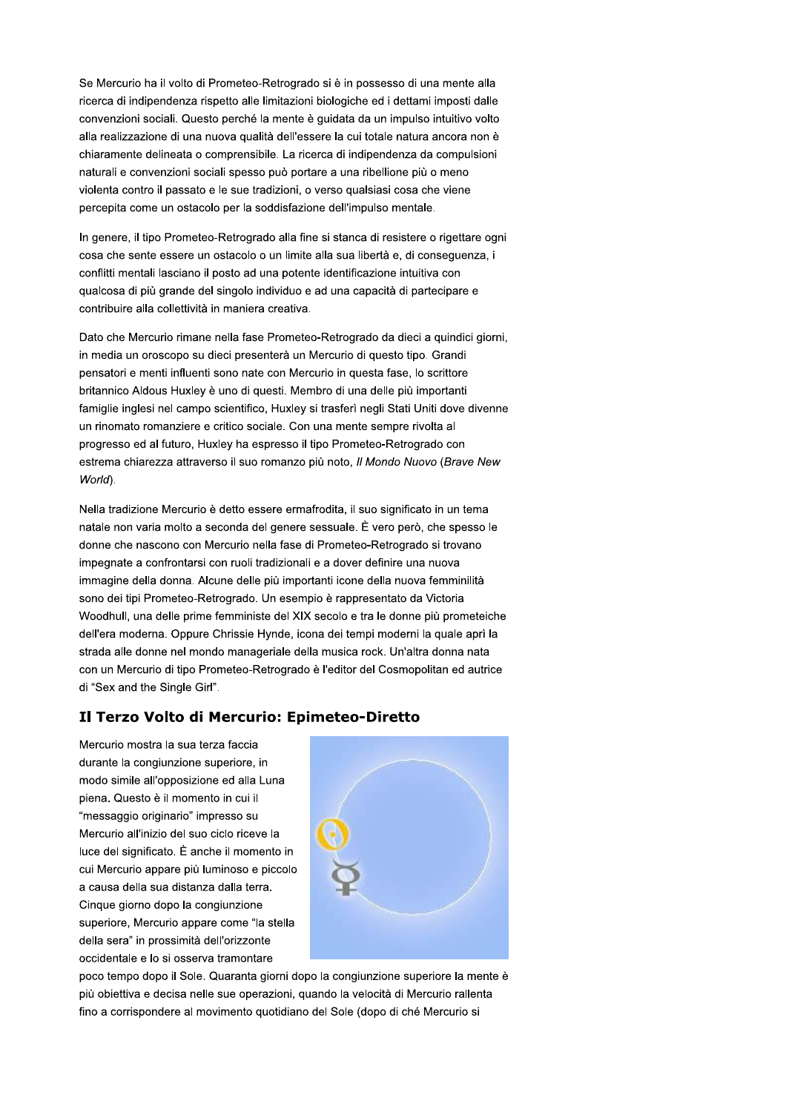Se Mercurio ha il volto di Prometeo-Retrogrado si è in possesso di una mente alla ricerca di indipendenza rispetto alle limitazioni biologiche ed i dettami imposti dalle convenzioni sociali. Questo perché la mente è guidata da un impulso intuitivo volto alla realizzazione di una nuova qualità dell'essere la cui totale natura ancora non è chiaramente delineata o comprensibile. La ricerca di indipendenza da compulsioni naturali e convenzioni sociali spesso può portare a una ribellione più o meno violenta contro il passato e le sue tradizioni, o verso qualsiasi cosa che viene percepita come un ostacolo per la soddisfazione dell'impulso mentale.

In genere, il tipo Prometeo-Retrogrado alla fine si stanca di resistere o rigettare ogni cosa che sente essere un ostacolo o un limite alla sua libertà e, di conseguenza, i conflitti mentali lasciano il posto ad una potente identificazione intuitiva con qualcosa di più grande del singolo individuo e ad una capacità di partecipare e contribuire alla collettività in maniera creativa.

Dato che Mercurio rimane nella fase Prometeo-Retrogrado da dieci a quindici giorni, in media un oroscopo su dieci presenterà un Mercurio di questo tipo. Grandi pensatori e menti influenti sono nate con Mercurio in questa fase, lo scrittore britannico Aldous Huxley è uno di questi. Membro di una delle più importanti famiglie inglesi nel campo scientifico, Huxley si trasferì negli Stati Uniti dove divenne un rinomato romanziere e critico sociale. Con una mente sempre rivolta al progresso ed al futuro, Huxley ha espresso il tipo Prometeo-Retrogrado con estrema chiarezza attraverso il suo romanzo più noto, Il Mondo Nuovo (Brave New World).

Nella tradizione Mercurio è detto essere ermafrodita, il suo significato in un tema natale non varia molto a seconda del genere sessuale. È vero però, che spesso le donne che nascono con Mercurio nella fase di Prometeo-Retrogrado si trovano impegnate a confrontarsi con ruoli tradizionali e a dover definire una nuova immagine della donna. Alcune delle più importanti icone della nuova femminilità sono dei tipi Prometeo-Retrogrado. Un esempio è rappresentato da Victoria Woodhull, una delle prime femministe del XIX secolo e tra le donne più prometeiche dell'era moderna. Oppure Chrissie Hynde, icona dei tempi moderni la quale aprì la strada alle donne nel mondo manageriale della musica rock. Un'altra donna nata con un Mercurio di tipo Prometeo-Retrogrado è l'editor del Cosmopolitan ed autrice di "Sex and the Single Girl".

## Il Terzo Volto di Mercurio: Epimeteo-Diretto

Mercurio mostra la sua terza faccia durante la congiunzione superiore, in modo simile all'opposizione ed alla Luna piena. Questo è il momento in cui il "messaggio originario" impresso su Mercurio all'inizio del suo ciclo riceve la luce del significato. È anche il momento in cui Mercurio appare più luminoso e piccolo a causa della sua distanza dalla terra. Cinque giorno dopo la congiunzione superiore, Mercurio appare come "la stella della sera" in prossimità dell'orizzonte occidentale e lo si osserva tramontare



poco tempo dopo il Sole. Quaranta giorni dopo la congiunzione superiore la mente è più obiettiva e decisa nelle sue operazioni, quando la velocità di Mercurio rallenta fino a corrispondere al movimento quotidiano del Sole (dopo di ché Mercurio si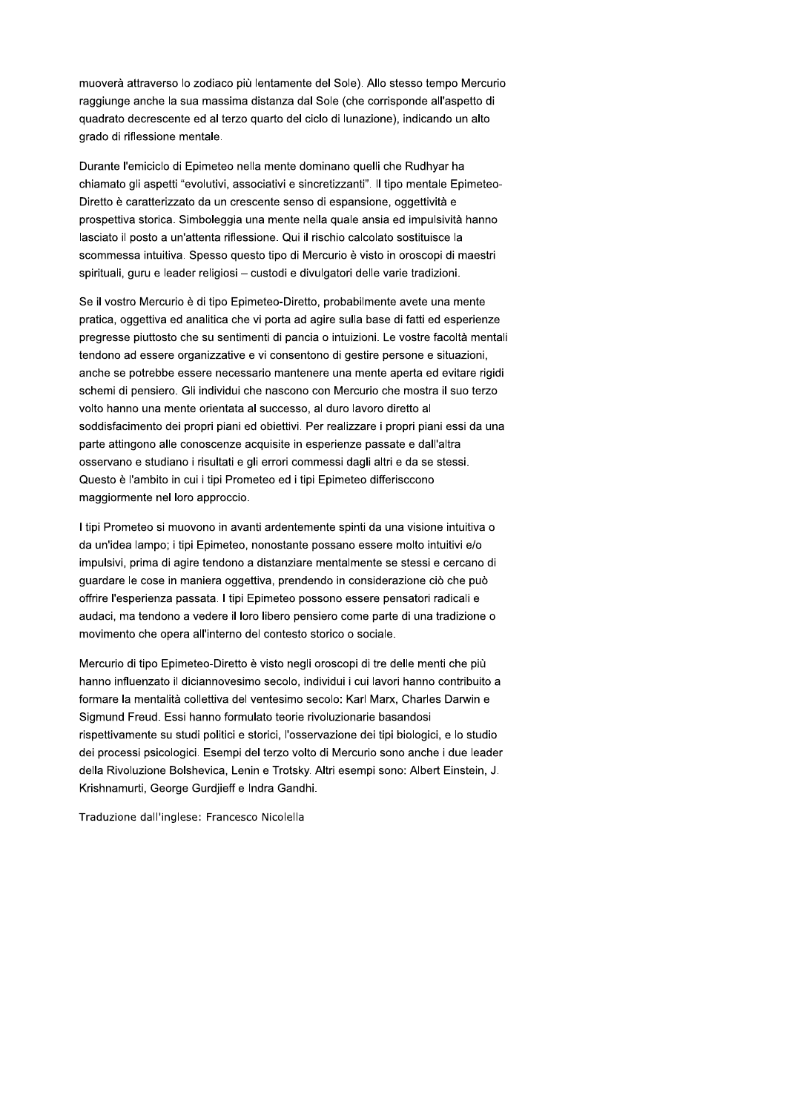muoverà attraverso lo zodiaco più lentamente del Sole). Allo stesso tempo Mercurio raggiunge anche la sua massima distanza dal Sole (che corrisponde all'aspetto di quadrato decrescente ed al terzo quarto del ciclo di lunazione), indicando un alto grado di riflessione mentale.

Durante l'emiciclo di Epimeteo nella mente dominano quelli che Rudhyar ha chiamato gli aspetti "evolutivi, associativi e sincretizzanti". Il tipo mentale Epimeteo-Diretto è caratterizzato da un crescente senso di espansione, oggettività e prospettiva storica. Simboleggia una mente nella quale ansia ed impulsività hanno lasciato il posto a un'attenta riflessione. Qui il rischio calcolato sostituisce la scommessa intuitiva. Spesso questo tipo di Mercurio è visto in oroscopi di maestri spirituali, guru e leader religiosi - custodi e divulgatori delle varie tradizioni.

Se il vostro Mercurio è di tipo Epimeteo-Diretto, probabilmente avete una mente pratica, oggettiva ed analitica che vi porta ad agire sulla base di fatti ed esperienze pregresse piuttosto che su sentimenti di pancia o intuizioni. Le vostre facoltà mentali tendono ad essere organizzative e vi consentono di gestire persone e situazioni, anche se potrebbe essere necessario mantenere una mente aperta ed evitare rigidi schemi di pensiero. Gli individui che nascono con Mercurio che mostra il suo terzo volto hanno una mente orientata al successo, al duro lavoro diretto al soddisfacimento dei propri piani ed obiettivi. Per realizzare i propri piani essi da una parte attingono alle conoscenze acquisite in esperienze passate e dall'altra osservano e studiano i risultati e gli errori commessi dagli altri e da se stessi. Questo è l'ambito in cui i tipi Prometeo ed i tipi Epimeteo differisccono maggiormente nel loro approccio.

I tipi Prometeo si muovono in avanti ardentemente spinti da una visione intuitiva o da un'idea lampo; i tipi Epimeteo, nonostante possano essere molto intuitivi e/o impulsivi, prima di agire tendono a distanziare mentalmente se stessi e cercano di guardare le cose in maniera oggettiva, prendendo in considerazione ciò che può offrire l'esperienza passata. I tipi Epimeteo possono essere pensatori radicali e audaci, ma tendono a vedere il loro libero pensiero come parte di una tradizione o movimento che opera all'interno del contesto storico o sociale.

Mercurio di tipo Epimeteo-Diretto è visto negli oroscopi di tre delle menti che più hanno influenzato il diciannovesimo secolo, individui i cui lavori hanno contribuito a formare la mentalità collettiva del ventesimo secolo: Karl Marx, Charles Darwin e Sigmund Freud. Essi hanno formulato teorie rivoluzionarie basandosi rispettivamente su studi politici e storici, l'osservazione dei tipi biologici, e lo studio dei processi psicologici. Esempi del terzo volto di Mercurio sono anche i due leader della Rivoluzione Bolshevica, Lenin e Trotsky. Altri esempi sono: Albert Einstein, J. Krishnamurti, George Gurdjieff e Indra Gandhi.

Traduzione dall'inglese: Francesco Nicolella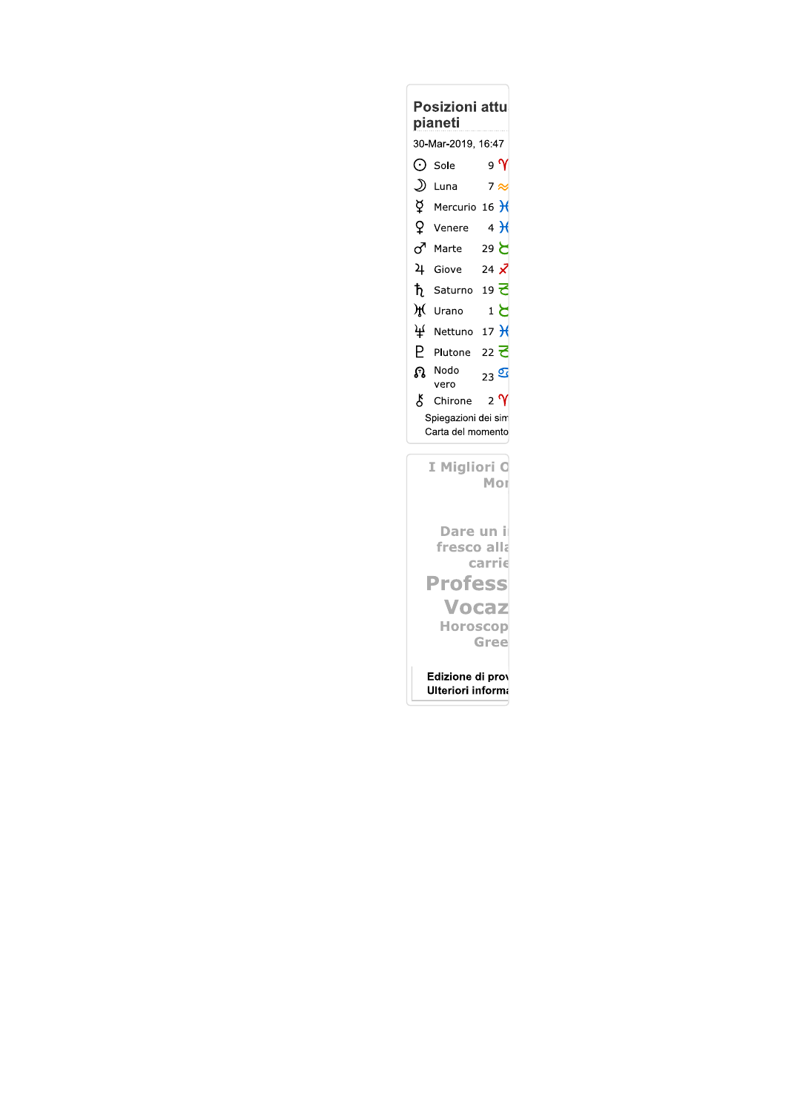| <b>Posizioni attu</b><br>pianeti         |                                            |                  |
|------------------------------------------|--------------------------------------------|------------------|
| 30-Mar-2019, 16:47                       |                                            |                  |
| ⊙                                        | Sole                                       | 9 V              |
| D                                        | Luna                                       | $7 \approx$      |
| ğ.                                       | Mercurio 16 $\overline{\mathcal{H}}$       |                  |
| Q.                                       | Venere                                     | 4H               |
| ♂                                        | Marte                                      | ح 29             |
|                                          | 4 Giove                                    | 24 $\vec{\chi}$  |
|                                          | $\dagger$ Saturno 19 $\overline{\epsilon}$ |                  |
|                                          | f Urano                                    | ع 1              |
| ¥                                        | Nettuno 17 $H$                             |                  |
| Р                                        | Plutone 22 <b>군</b>                        |                  |
| ନ୍ତ                                      | Nodo<br>vero                               | $_{23}$ $\sigma$ |
| ¥,                                       | Chirone                                    | $_{2}$ $\gamma$  |
| Spiegazioni dei sim<br>Carta del momento |                                            |                  |
| I Migliori O<br>Mor                      |                                            |                  |
| Dare un il<br>fresco alla<br>carrie      |                                            |                  |
| Profess                                  |                                            |                  |
| Vocaz                                    |                                            |                  |
| <b>Horoscop</b>                          |                                            |                  |
| Gree                                     |                                            |                  |

```
Edizione di prov<br>Ulteriori informa
```